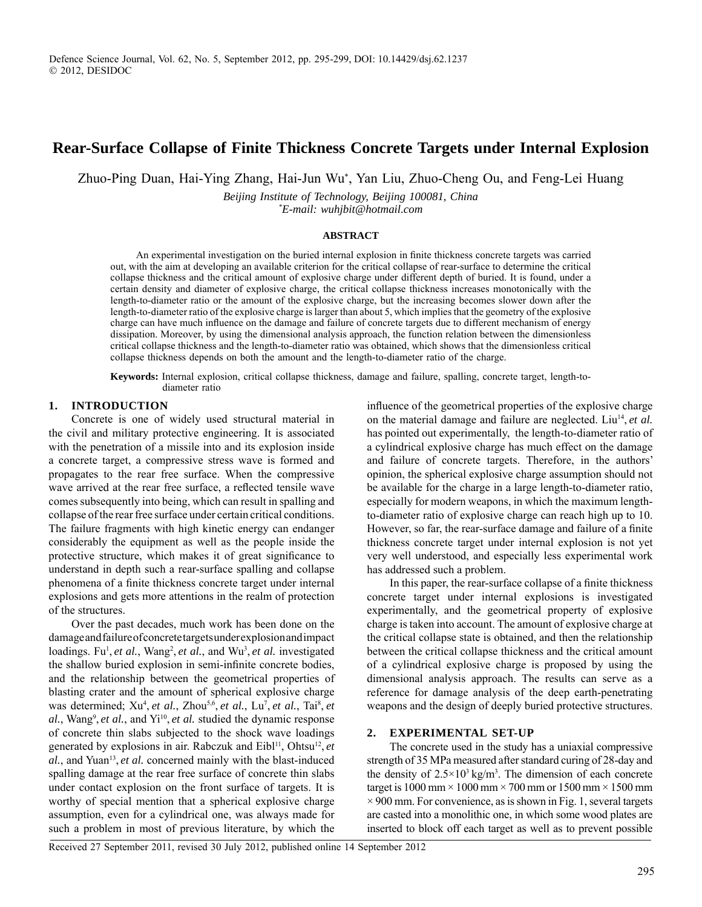# **Rear-Surface Collapse of Finite Thickness Concrete Targets under Internal Explosion**

Zhuo-Ping Duan, Hai-Ying Zhang, Hai-Jun Wu<sup>∗</sup> , Yan Liu, Zhuo-Cheng Ou, and Feng-Lei Huang

*Beijing Institute of Technology, Beijing 100081, China \* E-mail: wuhjbit@hotmail.com*

#### **ABSTRACT**

An experimental investigation on the buried internal explosion in finite thickness concrete targets was carried out, with the aim at developing an available criterion for the critical collapse of rear-surface to determine the critical collapse thickness and the critical amount of explosive charge under different depth of buried. It is found, under a certain density and diameter of explosive charge, the critical collapse thickness increases monotonically with the length-to-diameter ratio or the amount of the explosive charge, but the increasing becomes slower down after the length-to-diameter ratio of the explosive charge is larger than about 5, which implies that the geometry of the explosive charge can have much influence on the damage and failure of concrete targets due to different mechanism of energy dissipation. Moreover, by using the dimensional analysis approach, the function relation between the dimensionless critical collapse thickness and the length-to-diameter ratio was obtained, which shows that the dimensionless critical collapse thickness depends on both the amount and the length-to-diameter ratio of the charge.

**Keywords:** Internal explosion, critical collapse thickness, damage and failure, spalling, concrete target, length-todiameter ratio

### **1. INTRODUCTION**

Concrete is one of widely used structural material in the civil and military protective engineering. It is associated with the penetration of a missile into and its explosion inside a concrete target, a compressive stress wave is formed and propagates to the rear free surface. When the compressive wave arrived at the rear free surface, a reflected tensile wave comes subsequently into being, which can result in spalling and collapse of the rear free surface under certain critical conditions. The failure fragments with high kinetic energy can endanger considerably the equipment as well as the people inside the protective structure, which makes it of great significance to understand in depth such a rear-surface spalling and collapse phenomena of a finite thickness concrete target under internal explosions and gets more attentions in the realm of protection of the structures.

Over the past decades, much work has been done on the damage and failure of concrete targets under explosion and impact loadings. Fu<sup>1</sup>, *et al.*, Wang<sup>2</sup>, *et al.*, and Wu<sup>3</sup>, *et al.* investigated the shallow buried explosion in semi-infinite concrete bodies, and the relationship between the geometrical properties of blasting crater and the amount of spherical explosive charge was determined; Xu<sup>4</sup>, *et al.*, Zhou<sup>5,6</sup>, *et al.*, Lu<sup>7</sup>, *et al.*, Tai<sup>8</sup>, *et* al., Wang<sup>9</sup>, *et al.*, and Yi<sup>10</sup>, *et al.* studied the dynamic response of concrete thin slabs subjected to the shock wave loadings generated by explosions in air. Rabczuk and Eibl<sup>11</sup>, Ohtsu<sup>12</sup>, et *al.*, and Yuan<sup>13</sup>, *et al.* concerned mainly with the blast-induced spalling damage at the rear free surface of concrete thin slabs under contact explosion on the front surface of targets. It is worthy of special mention that a spherical explosive charge assumption, even for a cylindrical one, was always made for such a problem in most of previous literature, by which the

influence of the geometrical properties of the explosive charge on the material damage and failure are neglected. Liu<sup>14</sup>, *et al.* has pointed out experimentally, the length-to-diameter ratio of a cylindrical explosive charge has much effect on the damage and failure of concrete targets. Therefore, in the authors' opinion, the spherical explosive charge assumption should not be available for the charge in a large length-to-diameter ratio, especially for modern weapons, in which the maximum lengthto-diameter ratio of explosive charge can reach high up to 10. However, so far, the rear-surface damage and failure of a finite thickness concrete target under internal explosion is not yet very well understood, and especially less experimental work has addressed such a problem.

In this paper, the rear-surface collapse of a finite thickness concrete target under internal explosions is investigated experimentally, and the geometrical property of explosive charge is taken into account. The amount of explosive charge at the critical collapse state is obtained, and then the relationship between the critical collapse thickness and the critical amount of a cylindrical explosive charge is proposed by using the dimensional analysis approach. The results can serve as a reference for damage analysis of the deep earth-penetrating weapons and the design of deeply buried protective structures.

### **2. EXPERIMENTAL SET-UP**

The concrete used in the study has a uniaxial compressive strength of 35 MPa measured after standard curing of 28-day and the density of  $2.5 \times 10^3$  kg/m<sup>3</sup>. The dimension of each concrete target is  $1000$  mm  $\times$   $1000$  mm  $\times$   $700$  mm or  $1500$  mm  $\times$   $1500$  mm  $\times$  900 mm. For convenience, as is shown in Fig. 1, several targets are casted into a monolithic one, in which some wood plates are inserted to block off each target as well as to prevent possible

Received 27 September 2011, revised 30 July 2012, published online 14 September 2012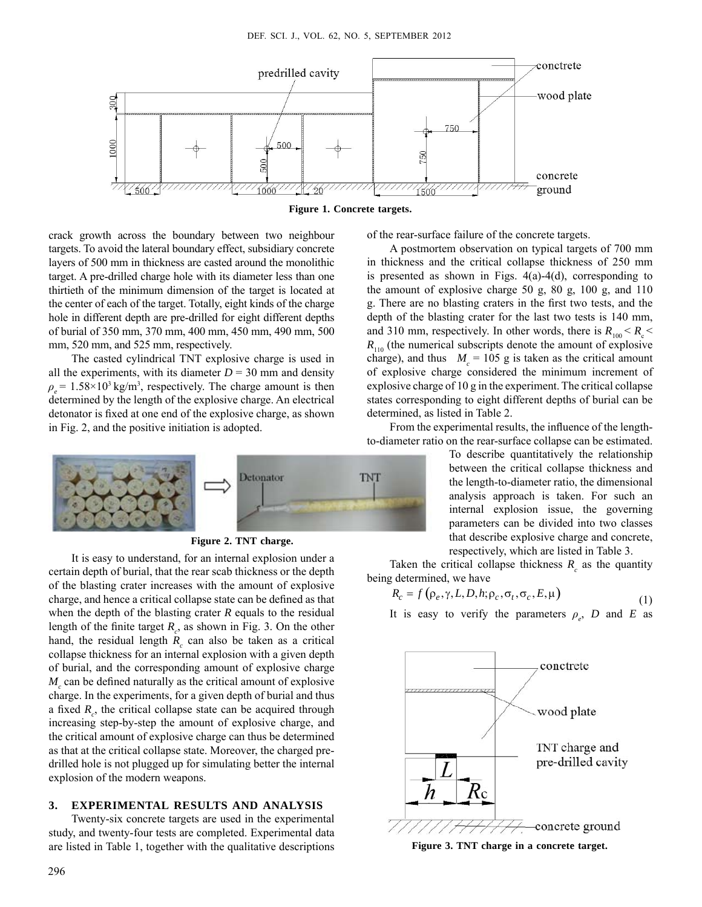

**Figure 1. Concrete targets.**

crack growth across the boundary between two neighbour targets. To avoid the lateral boundary effect, subsidiary concrete layers of 500 mm in thickness are casted around the monolithic target. A pre-drilled charge hole with its diameter less than one thirtieth of the minimum dimension of the target is located at the center of each of the target. Totally, eight kinds of the charge hole in different depth are pre-drilled for eight different depths of burial of 350 mm, 370 mm, 400 mm, 450 mm, 490 mm, 500 mm, 520 mm, and 525 mm, respectively.

The casted cylindrical TNT explosive charge is used in all the experiments, with its diameter  $D = 30$  mm and density  $\rho_e$  = 1.58×10<sup>3</sup> kg/m<sup>3</sup>, respectively. The charge amount is then determined by the length of the explosive charge. An electrical detonator is fixed at one end of the explosive charge, as shown in Fig. 2, and the positive initiation is adopted.



**Figure 2. TNT charge.**

It is easy to understand, for an internal explosion under a certain depth of burial, that the rear scab thickness or the depth of the blasting crater increases with the amount of explosive charge, and hence a critical collapse state can be defined as that when the depth of the blasting crater *R* equals to the residual length of the finite target  $R_c$ , as shown in Fig. 3. On the other hand, the residual length  $R_c$  can also be taken as a critical collapse thickness for an internal explosion with a given depth of burial, and the corresponding amount of explosive charge  $M_c$  can be defined naturally as the critical amount of explosive charge. In the experiments, for a given depth of burial and thus a fixed  $R_c$ , the critical collapse state can be acquired through increasing step-by-step the amount of explosive charge, and the critical amount of explosive charge can thus be determined as that at the critical collapse state. Moreover, the charged predrilled hole is not plugged up for simulating better the internal explosion of the modern weapons.

#### **3. EXPERIMENTAL RESULTS AND ANALYSIS**

Twenty-six concrete targets are used in the experimental study, and twenty-four tests are completed. Experimental data are listed in Table 1, together with the qualitative descriptions of the rear-surface failure of the concrete targets.

A postmortem observation on typical targets of 700 mm in thickness and the critical collapse thickness of 250 mm is presented as shown in Figs. 4(a)-4(d), corresponding to the amount of explosive charge 50 g, 80 g, 100 g, and 110 g. There are no blasting craters in the first two tests, and the depth of the blasting crater for the last two tests is 140 mm, and 310 mm, respectively. In other words, there is  $R_{100} < R_{\rm c} <$  $R_{110}$  (the numerical subscripts denote the amount of explosive charge), and thus  $M_c = 105$  g is taken as the critical amount of explosive charge considered the minimum increment of explosive charge of 10 g in the experiment. The critical collapse states corresponding to eight different depths of burial can be determined, as listed in Table 2.

From the experimental results, the influence of the lengthto-diameter ratio on the rear-surface collapse can be estimated.

> To describe quantitatively the relationship between the critical collapse thickness and the length-to-diameter ratio, the dimensional analysis approach is taken. For such an internal explosion issue, the governing parameters can be divided into two classes that describe explosive charge and concrete, respectively, which are listed in Table 3.

Taken the critical collapse thickness  $R_c$  as the quantity being determined, we have

$$
R_c = f(\rho_e, \gamma, L, D, h; \rho_c, \sigma_t, \sigma_c, E, \mu)
$$
\n(1)

It is easy to verify the parameters  $\rho_e$ , *D* and *E* as



**Figure 3. TNT charge in a concrete target.**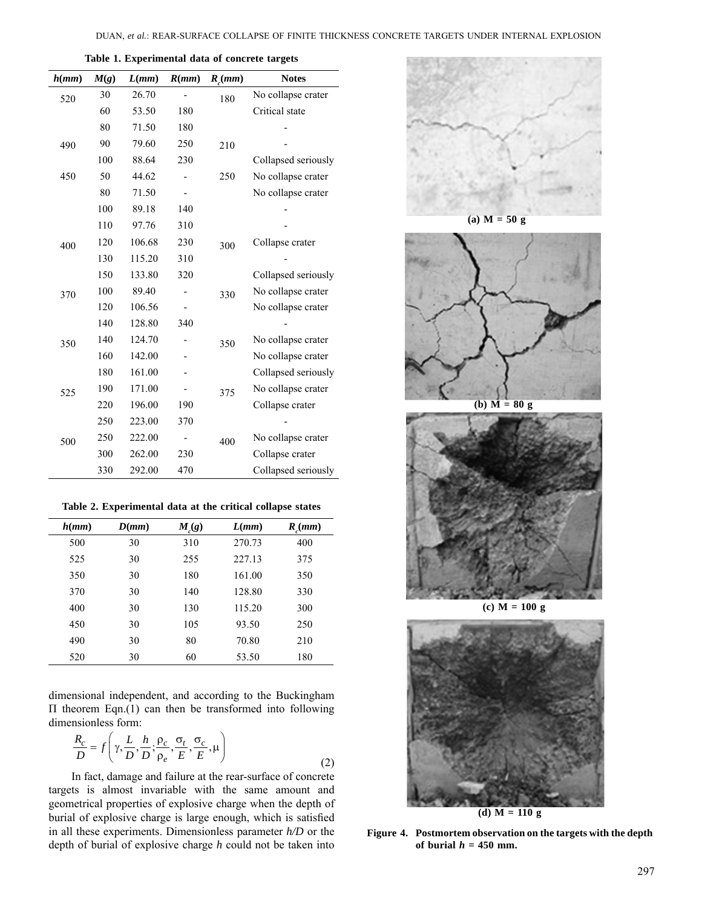| h(mm) | M(g) | L(mm)  | R(mm) | $R_c$ (mm) | <b>Notes</b>        |
|-------|------|--------|-------|------------|---------------------|
| 520   | 30   | 26.70  |       | 180        | No collapse crater  |
|       | 60   | 53.50  | 180   |            | Critical state      |
|       | 80   | 71.50  | 180   |            |                     |
| 490   | 90   | 79.60  | 250   | 210        |                     |
|       | 100  | 88.64  | 230   |            | Collapsed seriously |
| 450   | 50   | 44.62  |       | 250        | No collapse crater  |
|       | 80   | 71.50  |       |            | No collapse crater  |
|       | 100  | 89.18  | 140   |            |                     |
|       | 110  | 97.76  | 310   |            |                     |
| 400   | 120  | 106.68 | 230   | 300        | Collapse crater     |
|       | 130  | 115.20 | 310   |            |                     |
|       | 150  | 133.80 | 320   |            | Collapsed seriously |
| 370   | 100  | 89.40  |       | 330        | No collapse crater  |
|       | 120  | 106.56 |       |            | No collapse crater  |
|       | 140  | 128.80 | 340   |            |                     |
| 350   | 140  | 124.70 |       | 350        | No collapse crater  |
|       | 160  | 142.00 |       |            | No collapse crater  |
|       | 180  | 161.00 |       |            | Collapsed seriously |
| 525   | 190  | 171.00 |       | 375        | No collapse crater  |
|       | 220  | 196.00 | 190   |            | Collapse crater     |
|       | 250  | 223.00 | 370   |            |                     |
| 500   | 250  | 222.00 |       | 400        | No collapse crater  |
|       | 300  | 262.00 | 230   |            | Collapse crater     |
|       | 330  | 292.00 | 470   |            | Collapsed seriously |

**Table 1. Experimental data of concrete targets**

|  |  |  |  |  | Table 2. Experimental data at the critical collapse states |  |
|--|--|--|--|--|------------------------------------------------------------|--|
|--|--|--|--|--|------------------------------------------------------------|--|

| L(mm)<br>$M_{c}(g)$ | $R_{\mu}(mm)$                                      |
|---------------------|----------------------------------------------------|
| 270.73              | 400                                                |
| 227.13              | 375                                                |
| 161.00              | 350                                                |
| 128.80              | 330                                                |
| 115.20              | 300                                                |
| 93.50               | 250                                                |
| 70.80               | 210                                                |
| 53.50               | 180                                                |
|                     | 310<br>255<br>180<br>140<br>130<br>105<br>80<br>60 |

dimensional independent, and according to the Buckingham Π theorem Eqn.(1) can then be transformed into following dimensionless form:

$$
\frac{R_c}{D} = f\left(\gamma, \frac{L}{D}, \frac{h}{D}; \frac{\rho_c}{\rho_e}, \frac{\sigma_t}{E}, \frac{\sigma_c}{E}, \mu\right)
$$
\n(2)

In fact, damage and failure at the rear-surface of concrete targets is almost invariable with the same amount and geometrical properties of explosive charge when the depth of burial of explosive charge is large enough, which is satisfied in all these experiments. Dimensionless parameter *h/D* or the depth of burial of explosive charge *h* could not be taken into



**(a) M = 50 g**



**(b) M = 80 g**



**(c) M = 100 g**



**Figure 4. Postmortem observation on the targets with the depth**  of burial  $h = 450$  mm.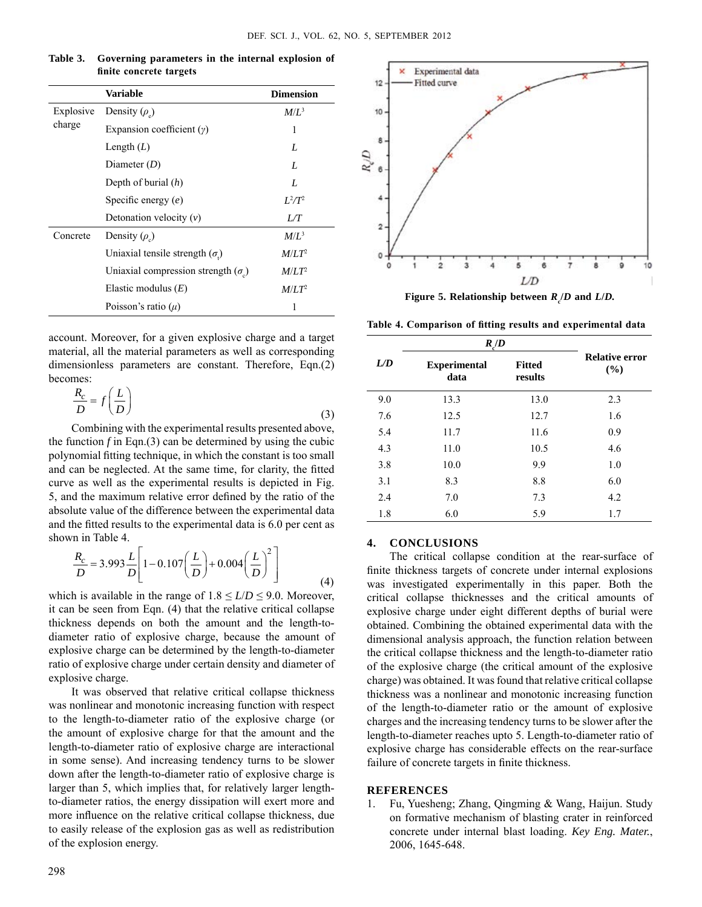|           | <b>Variable</b>                          | <b>Dimension</b>  |
|-----------|------------------------------------------|-------------------|
| Explosive | Density $(\rho_e)$                       | $M/L^3$           |
| charge    | Expansion coefficient $(y)$              | 1                 |
|           | Length $(L)$                             | L                 |
|           | Diameter $(D)$                           | L                 |
|           | Depth of burial $(h)$                    | L                 |
|           | Specific energy $(e)$                    | $L^2/T^2$         |
|           | Detonation velocity $(v)$                | LT                |
| Concrete  | Density $(\rho_{\rho})$                  | $M/L^3$           |
|           | Uniaxial tensile strength $(\sigma)$     | $M/LT^2$          |
|           | Uniaxial compression strength $(\sigma)$ | M/LT <sup>2</sup> |
|           | Elastic modulus $(E)$                    | M/LT <sup>2</sup> |
|           | Poisson's ratio $(\mu)$                  | 1                 |

**Table 3. Governing parameters in the internal explosion of finite concrete targets**

account. Moreover, for a given explosive charge and a target material, all the material parameters as well as corresponding dimensionless parameters are constant. Therefore, Eqn.(2) becomes:

$$
\frac{R_c}{D} = f\left(\frac{L}{D}\right) \tag{3}
$$

Combining with the experimental results presented above, the function  $f$  in Eqn.(3) can be determined by using the cubic polynomial fitting technique, in which the constant is too small and can be neglected. At the same time, for clarity, the fitted curve as well as the experimental results is depicted in Fig. 5, and the maximum relative error defined by the ratio of the absolute value of the difference between the experimental data and the fitted results to the experimental data is 6.0 per cent as shown in Table 4.

$$
\frac{R_c}{D} = 3.993 \frac{L}{D} \left[ 1 - 0.107 \left( \frac{L}{D} \right) + 0.004 \left( \frac{L}{D} \right)^2 \right]
$$
(4)

which is available in the range of  $1.8 \leq L/D \leq 9.0$ . Moreover, it can be seen from Eqn. (4) that the relative critical collapse thickness depends on both the amount and the length-todiameter ratio of explosive charge, because the amount of explosive charge can be determined by the length-to-diameter ratio of explosive charge under certain density and diameter of explosive charge.

It was observed that relative critical collapse thickness was nonlinear and monotonic increasing function with respect to the length-to-diameter ratio of the explosive charge (or the amount of explosive charge for that the amount and the length-to-diameter ratio of explosive charge are interactional in some sense). And increasing tendency turns to be slower down after the length-to-diameter ratio of explosive charge is larger than 5, which implies that, for relatively larger lengthto-diameter ratios, the energy dissipation will exert more and more influence on the relative critical collapse thickness, due to easily release of the explosion gas as well as redistribution of the explosion energy.



**Figure 5. Relationship between** *R***<sup>c</sup> /***D* **and** *L***/***D.*

**Table 4. Comparison of fitting results and experimental data**

|     | $R_c/D$                     |                          |                              |  |
|-----|-----------------------------|--------------------------|------------------------------|--|
| L/D | <b>Experimental</b><br>data | <b>Fitted</b><br>results | <b>Relative error</b><br>(%) |  |
| 9.0 | 13.3                        | 13.0                     | 2.3                          |  |
| 7.6 | 12.5                        | 12.7                     | 1.6                          |  |
| 5.4 | 11.7                        | 11.6                     | 0.9                          |  |
| 4.3 | 11.0                        | 10.5                     | 4.6                          |  |
| 3.8 | 10.0                        | 9.9                      | 1.0                          |  |
| 3.1 | 8.3                         | 8.8                      | 6.0                          |  |
| 2.4 | 7.0                         | 7.3                      | 4.2                          |  |
| 1.8 | 6.0                         | 5.9                      | 1.7                          |  |

## **4. Conclusions**

The critical collapse condition at the rear-surface of finite thickness targets of concrete under internal explosions was investigated experimentally in this paper. Both the critical collapse thicknesses and the critical amounts of explosive charge under eight different depths of burial were obtained. Combining the obtained experimental data with the dimensional analysis approach, the function relation between the critical collapse thickness and the length-to-diameter ratio of the explosive charge (the critical amount of the explosive charge) was obtained. It was found that relative critical collapse thickness was a nonlinear and monotonic increasing function of the length-to-diameter ratio or the amount of explosive charges and the increasing tendency turns to be slower after the length-to-diameter reaches upto 5. Length-to-diameter ratio of explosive charge has considerable effects on the rear-surface failure of concrete targets in finite thickness.

#### **References**

1. Fu, Yuesheng; Zhang, Qingming & Wang, Haijun. Study on formative mechanism of blasting crater in reinforced concrete under internal blast loading. *Key Eng. Mater.*, 2006, 1645-648.